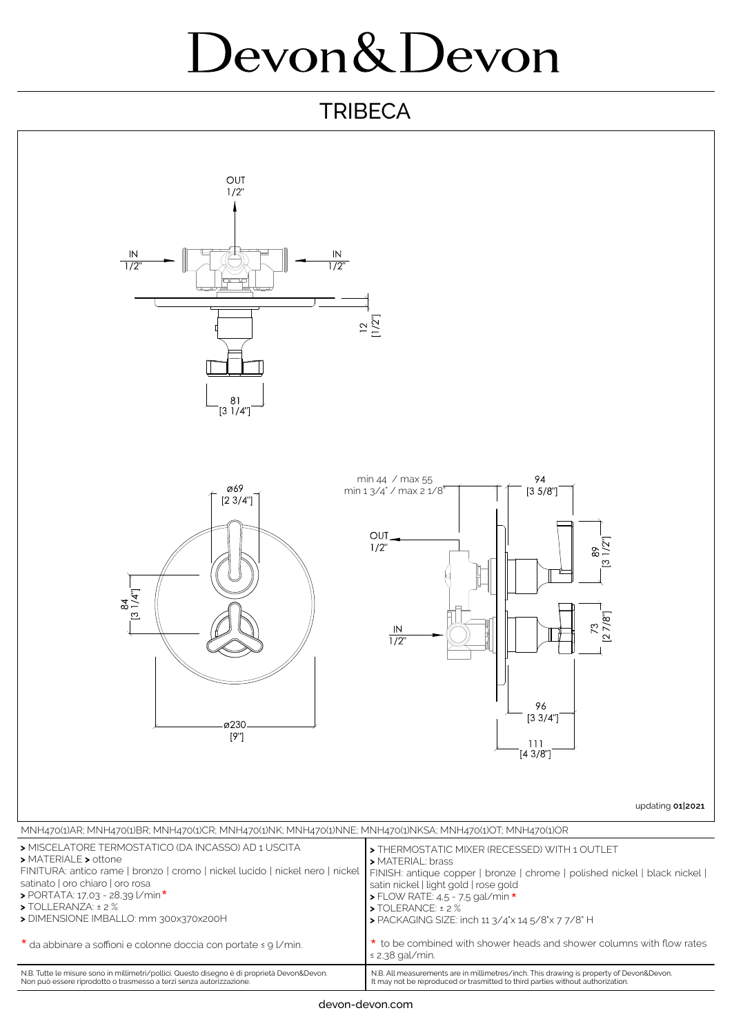## Devon&Devon

## **TRIBECA**